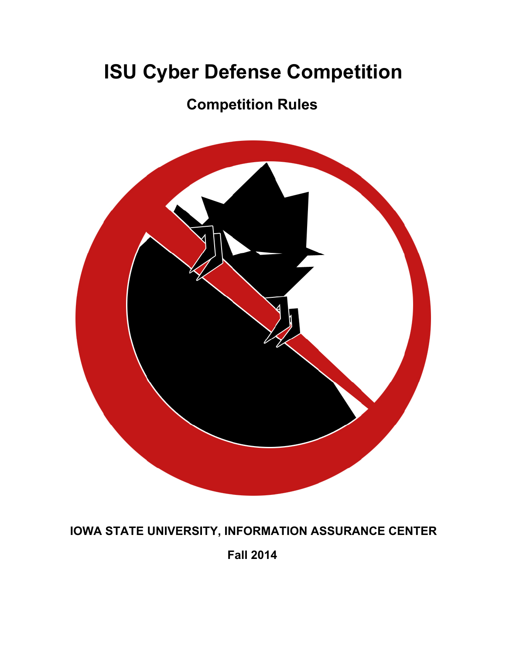# **ISU Cyber Defense Competition**

## **Competition Rules**



#### **IOWA STATE UNIVERSITY, INFORMATION ASSURANCE CENTER**

**Fall 2014**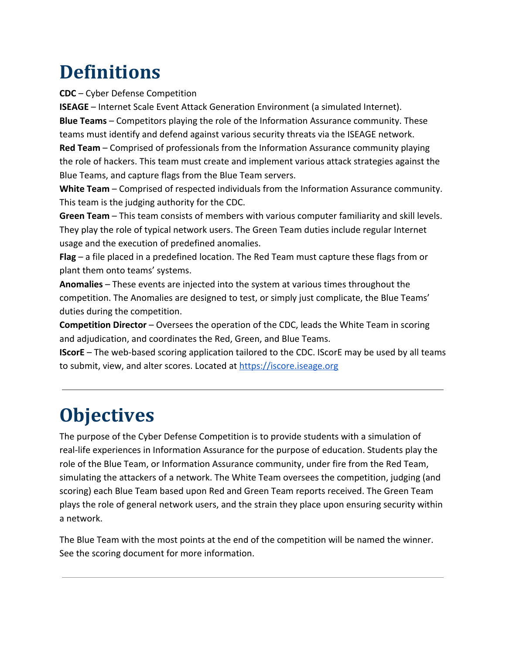# **Definitions**

**CDC** – Cyber Defense Competition

**ISEAGE** – Internet Scale Event Attack Generation Environment (a simulated Internet). **Blue Teams** – Competitors playing the role of the Information Assurance community. These teams must identify and defend against various security threats via the ISEAGE network.

**Red Team** – Comprised of professionals from the Information Assurance community playing the role of hackers. This team must create and implement various attack strategies against the Blue Teams, and capture flags from the Blue Team servers.

**White Team** – Comprised of respected individuals from the Information Assurance community. This team is the judging authority for the CDC.

**Green Team** – This team consists of members with various computer familiarity and skill levels. They play the role of typical network users. The Green Team duties include regular Internet usage and the execution of predefined anomalies.

**Flag** – a file placed in a predefined location. The Red Team must capture these flags from or plant them onto teams' systems.

**Anomalies** – These events are injected into the system at various times throughout the competition. The Anomalies are designed to test, or simply just complicate, the Blue Teams' duties during the competition.

**Competition Director** – Oversees the operation of the CDC, leads the White Team in scoring and adjudication, and coordinates the Red, Green, and Blue Teams.

**IScorE** – The web-based scoring application tailored to the CDC. IScorE may be used by all teams to submit, view, and alter scores. Located at [https://iscore.iseage.org](https://www.google.com/url?q=https%3A%2F%2Fiscore.iseage.org&sa=D&sntz=1&usg=AFQjCNEQN8S8GvqwOTVvSfq_ErhT3wtqpA)

# **Objectives**

The purpose of the Cyber Defense Competition is to provide students with a simulation of real-life experiences in Information Assurance for the purpose of education. Students play the role of the Blue Team, or Information Assurance community, under fire from the Red Team, simulating the attackers of a network. The White Team oversees the competition, judging (and scoring) each Blue Team based upon Red and Green Team reports received. The Green Team plays the role of general network users, and the strain they place upon ensuring security within a network.

The Blue Team with the most points at the end of the competition will be named the winner. See the scoring document for more information.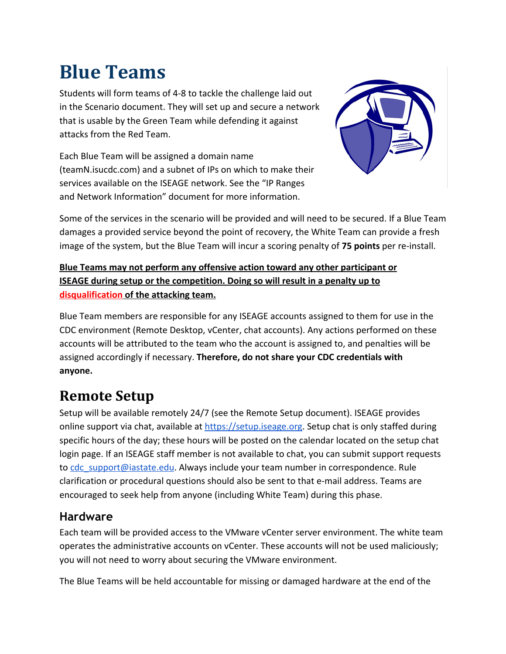# **Blue Teams**

Students will form teams of 4-8 to tackle the challenge laid out in the Scenario document. They will set up and secure a network that is usable by the Green Team while defending it against attacks from the Red Team.

Each Blue Team will be assigned a domain name (teamN.isucdc.com) and a subnet of IPs on which to make their services available on the ISEAGE network. See the "IP Ranges and Network Information" document for more information.



Some of the services in the scenario will be provided and will need to be secured. If a Blue Team damages a provided service beyond the point of recovery, the White Team can provide a fresh image of the system, but the Blue Team will incur a scoring penalty of **75 points** per re-install.

#### **Blue Teams may not perform any offensive action toward any other participant or ISEAGE during setup or the competition. Doing so will result in a penalty up to disqualification of the attacking team.**

Blue Team members are responsible for any ISEAGE accounts assigned to them for use in the CDC environment (Remote Desktop, vCenter, chat accounts). Any actions performed on these accounts will be attributed to the team who the account is assigned to, and penalties will be assigned accordingly if necessary. **Therefore, do not share your CDC credentials with anyone.**

### **Remote Setup**

Setup will be available remotely 24/7 (see the Remote Setup document). ISEAGE provides online support via chat, available at [https://setup.iseage.org.](https://www.google.com/url?q=https%3A%2F%2Fsetup.iseage.org&sa=D&sntz=1&usg=AFQjCNEojqjR9CFfVG02Cqk9CguHsYsc1w) Setup chat is only staffed during specific hours of the day; these hours will be posted on the calendar located on the setup chat login page. If an ISEAGE staff member is not available to chat, you can submit support requests to [cdc\\_support@iastate.edu.](mailto:cdc_support@iastate.edu) Always include your team number in correspondence. Rule clarification or procedural questions should also be sent to that e-mail address. Teams are encouraged to seek help from anyone (including White Team) during this phase.

#### **Hardware**

Each team will be provided access to the VMware vCenter server environment. The white team operates the administrative accounts on vCenter. These accounts will not be used maliciously; you will not need to worry about securing the VMware environment.

The Blue Teams will be held accountable for missing or damaged hardware at the end of the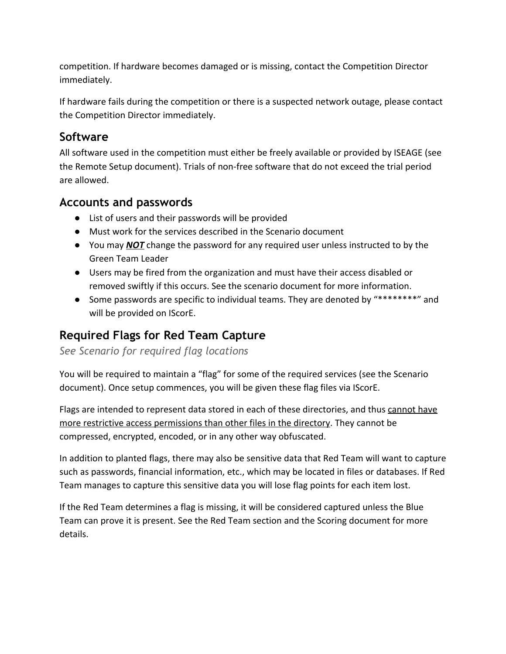competition. If hardware becomes damaged or is missing, contact the Competition Director immediately.

If hardware fails during the competition or there is a suspected network outage, please contact the Competition Director immediately.

#### **Software**

All software used in the competition must either be freely available or provided by ISEAGE (see the Remote Setup document). Trials of non-free software that do not exceed the trial period are allowed.

#### **Accounts and passwords**

- List of users and their passwords will be provided
- Must work for the services described in the Scenario document
- You may *NOT* change the password for any required user unless instructed to by the Green Team Leader
- Users may be fired from the organization and must have their access disabled or removed swiftly if this occurs. See the scenario document for more information.
- Some passwords are specific to individual teams. They are denoted by "\*\*\*\*\*\*\*\*" and will be provided on IScorE.

#### **Required Flags for Red Team Capture**

*See Scenario for required flag locations*

You will be required to maintain a "flag" for some of the required services (see the Scenario document). Once setup commences, you will be given these flag files via IScorE.

Flags are intended to represent data stored in each of these directories, and thus cannot have more restrictive access permissions than other files in the directory. They cannot be compressed, encrypted, encoded, or in any other way obfuscated.

In addition to planted flags, there may also be sensitive data that Red Team will want to capture such as passwords, financial information, etc., which may be located in files or databases. If Red Team manages to capture this sensitive data you will lose flag points for each item lost.

If the Red Team determines a flag is missing, it will be considered captured unless the Blue Team can prove it is present. See the Red Team section and the Scoring document for more details.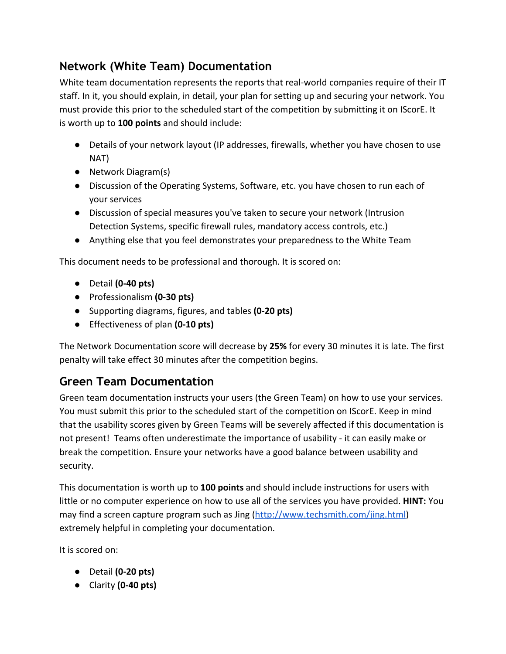#### **Network (White Team) Documentation**

White team documentation represents the reports that real-world companies require of their IT staff. In it, you should explain, in detail, your plan for setting up and securing your network. You must provide this prior to the scheduled start of the competition by submitting it on IScorE. It is worth up to **100 points** and should include:

- Details of your network layout (IP addresses, firewalls, whether you have chosen to use NAT)
- Network Diagram(s)
- Discussion of the Operating Systems, Software, etc. you have chosen to run each of your services
- Discussion of special measures you've taken to secure your network (Intrusion Detection Systems, specific firewall rules, mandatory access controls, etc.)
- Anything else that you feel demonstrates your preparedness to the White Team

This document needs to be professional and thorough. It is scored on:

- Detail **(0-40 pts)**
- Professionalism **(0-30 pts)**
- Supporting diagrams, figures, and tables **(0-20 pts)**
- Effectiveness of plan **(0-10 pts)**

The Network Documentation score will decrease by **25%** for every 30 minutes it is late. The first penalty will take effect 30 minutes after the competition begins.

#### **Green Team Documentation**

Green team documentation instructs your users (the Green Team) on how to use your services. You must submit this prior to the scheduled start of the competition on IScorE. Keep in mind that the usability scores given by Green Teams will be severely affected if this documentation is not present! Teams often underestimate the importance of usability - it can easily make or break the competition. Ensure your networks have a good balance between usability and security.

This documentation is worth up to **100 points** and should include instructions for users with little or no computer experience on how to use all of the services you have provided. **HINT:** You may find a screen capture program such as Jing [\(http://www.techsmith.com/jing.html\)](http://www.google.com/url?q=http%3A%2F%2Fwww.techsmith.com%2Fjing.html&sa=D&sntz=1&usg=AFQjCNFr5H1h3hB2DuVAOuM_bGYPHyOSqQ) extremely helpful in completing your documentation.

It is scored on:

- Detail **(0-20 pts)**
- Clarity **(0-40 pts)**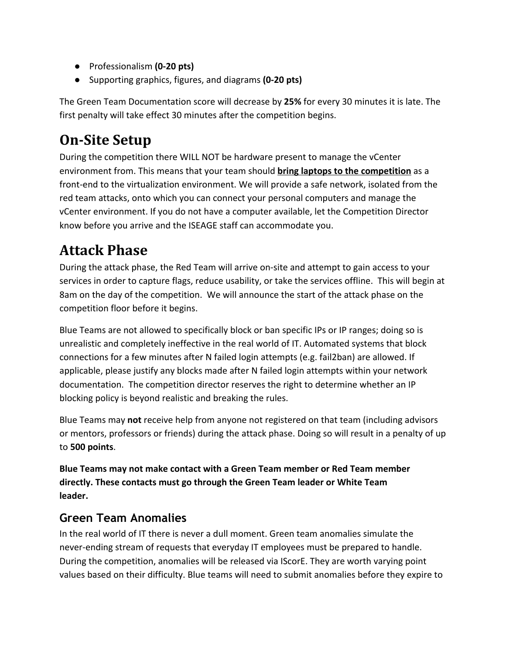- Professionalism **(0-20 pts)**
- Supporting graphics, figures, and diagrams **(0-20 pts)**

The Green Team Documentation score will decrease by **25%** for every 30 minutes it is late. The first penalty will take effect 30 minutes after the competition begins.

### **On-Site Setup**

During the competition there WILL NOT be hardware present to manage the vCenter environment from. This means that your team should **bring laptops to the competition** as a front-end to the virtualization environment. We will provide a safe network, isolated from the red team attacks, onto which you can connect your personal computers and manage the vCenter environment. If you do not have a computer available, let the Competition Director know before you arrive and the ISEAGE staff can accommodate you.

### **Attack Phase**

During the attack phase, the Red Team will arrive on-site and attempt to gain access to your services in order to capture flags, reduce usability, or take the services offline. This will begin at 8am on the day of the competition. We will announce the start of the attack phase on the competition floor before it begins.

Blue Teams are not allowed to specifically block or ban specific IPs or IP ranges; doing so is unrealistic and completely ineffective in the real world of IT. Automated systems that block connections for a few minutes after N failed login attempts (e.g. fail2ban) are allowed. If applicable, please justify any blocks made after N failed login attempts within your network documentation. The competition director reserves the right to determine whether an IP blocking policy is beyond realistic and breaking the rules.

Blue Teams may **not** receive help from anyone not registered on that team (including advisors or mentors, professors or friends) during the attack phase. Doing so will result in a penalty of up to **500 points**.

**Blue Teams may not make contact with a Green Team member or Red Team member directly. These contacts must go through the Green Team leader or White Team leader.**

#### **Green Team Anomalies**

In the real world of IT there is never a dull moment. Green team anomalies simulate the never-ending stream of requests that everyday IT employees must be prepared to handle. During the competition, anomalies will be released via IScorE. They are worth varying point values based on their difficulty. Blue teams will need to submit anomalies before they expire to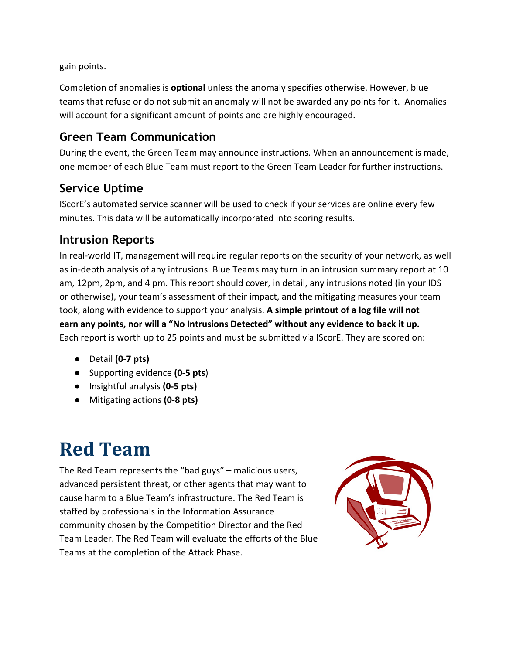gain points.

Completion of anomalies is **optional** unless the anomaly specifies otherwise. However, blue teams that refuse or do not submit an anomaly will not be awarded any points for it. Anomalies will account for a significant amount of points and are highly encouraged.

#### **Green Team Communication**

During the event, the Green Team may announce instructions. When an announcement is made, one member of each Blue Team must report to the Green Team Leader for further instructions.

#### **Service Uptime**

IScorE's automated service scanner will be used to check if your services are online every few minutes. This data will be automatically incorporated into scoring results.

#### **Intrusion Reports**

In real-world IT, management will require regular reports on the security of your network, as well as in-depth analysis of any intrusions. Blue Teams may turn in an intrusion summary report at 10 am, 12pm, 2pm, and 4 pm. This report should cover, in detail, any intrusions noted (in your IDS or otherwise), your team's assessment of their impact, and the mitigating measures your team took, along with evidence to support your analysis. **A simple printout of a log file will not earn any points, nor will a "No Intrusions Detected" without any evidence to back it up.** Each report is worth up to 25 points and must be submitted via IScorE. They are scored on:

- Detail **(0-7 pts)**
- Supporting evidence **(0-5 pts**)
- Insightful analysis **(0-5 pts)**
- Mitigating actions **(0-8 pts)**

# **Red Team**

The Red Team represents the "bad guys" – malicious users, advanced persistent threat, or other agents that may want to cause harm to a Blue Team's infrastructure. The Red Team is staffed by professionals in the Information Assurance community chosen by the Competition Director and the Red Team Leader. The Red Team will evaluate the efforts of the Blue Teams at the completion of the Attack Phase.

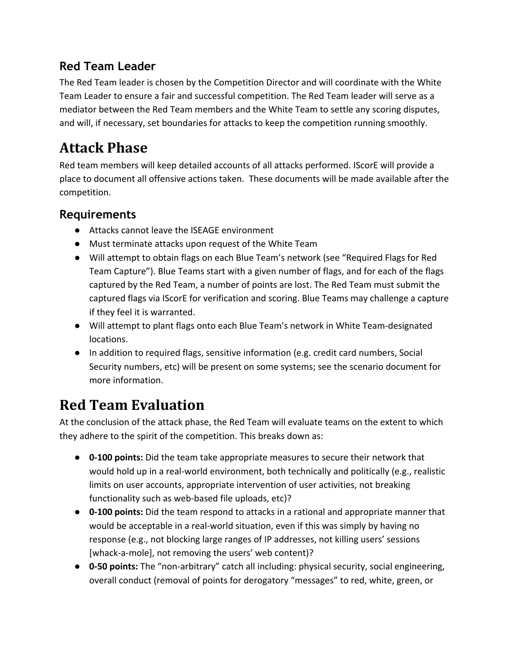#### **Red Team Leader**

The Red Team leader is chosen by the Competition Director and will coordinate with the White Team Leader to ensure a fair and successful competition. The Red Team leader will serve as a mediator between the Red Team members and the White Team to settle any scoring disputes, and will, if necessary, set boundaries for attacks to keep the competition running smoothly.

## **Attack Phase**

Red team members will keep detailed accounts of all attacks performed. IScorE will provide a place to document all offensive actions taken. These documents will be made available after the competition.

#### **Requirements**

- Attacks cannot leave the ISEAGE environment
- Must terminate attacks upon request of the White Team
- Will attempt to obtain flags on each Blue Team's network (see "Required Flags for Red Team Capture"). Blue Teams start with a given number of flags, and for each of the flags captured by the Red Team, a number of points are lost. The Red Team must submit the captured flags via IScorE for verification and scoring. Blue Teams may challenge a capture if they feel it is warranted.
- Will attempt to plant flags onto each Blue Team's network in White Team-designated locations.
- In addition to required flags, sensitive information (e.g. credit card numbers, Social Security numbers, etc) will be present on some systems; see the scenario document for more information.

## **Red Team Evaluation**

At the conclusion of the attack phase, the Red Team will evaluate teams on the extent to which they adhere to the spirit of the competition. This breaks down as:

- **0-100 points:** Did the team take appropriate measures to secure their network that would hold up in a real-world environment, both technically and politically (e.g., realistic limits on user accounts, appropriate intervention of user activities, not breaking functionality such as web-based file uploads, etc)?
- **0-100 points:** Did the team respond to attacks in a rational and appropriate manner that would be acceptable in a real-world situation, even if this was simply by having no response (e.g., not blocking large ranges of IP addresses, not killing users' sessions [whack-a-mole], not removing the users' web content)?
- **0-50 points:** The "non-arbitrary" catch all including: physical security, social engineering, overall conduct (removal of points for derogatory "messages" to red, white, green, or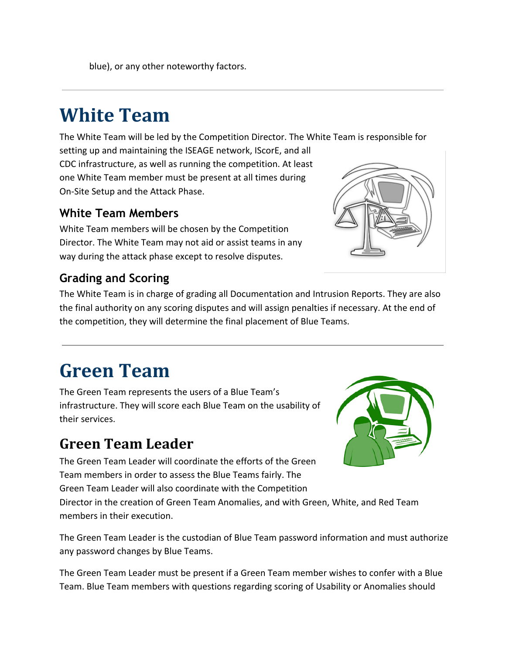blue), or any other noteworthy factors.

## **White Team**

The White Team will be led by the Competition Director. The White Team is responsible for

setting up and maintaining the ISEAGE network, IScorE, and all CDC infrastructure, as well as running the competition. At least one White Team member must be present at all times during On-Site Setup and the Attack Phase.

#### **White Team Members**

White Team members will be chosen by the Competition Director. The White Team may not aid or assist teams in any way during the attack phase except to resolve disputes.

#### **Grading and Scoring**

The White Team is in charge of grading all Documentation and Intrusion Reports. They are also the final authority on any scoring disputes and will assign penalties if necessary. At the end of the competition, they will determine the final placement of Blue Teams.

## **Green Team**

The Green Team represents the users of a Blue Team's infrastructure. They will score each Blue Team on the usability of their services.

### **Green Team Leader**

The Green Team Leader will coordinate the efforts of the Green Team members in order to assess the Blue Teams fairly. The Green Team Leader will also coordinate with the Competition

Director in the creation of Green Team Anomalies, and with Green, White, and Red Team members in their execution.

The Green Team Leader is the custodian of Blue Team password information and must authorize any password changes by Blue Teams.

The Green Team Leader must be present if a Green Team member wishes to confer with a Blue Team. Blue Team members with questions regarding scoring of Usability or Anomalies should